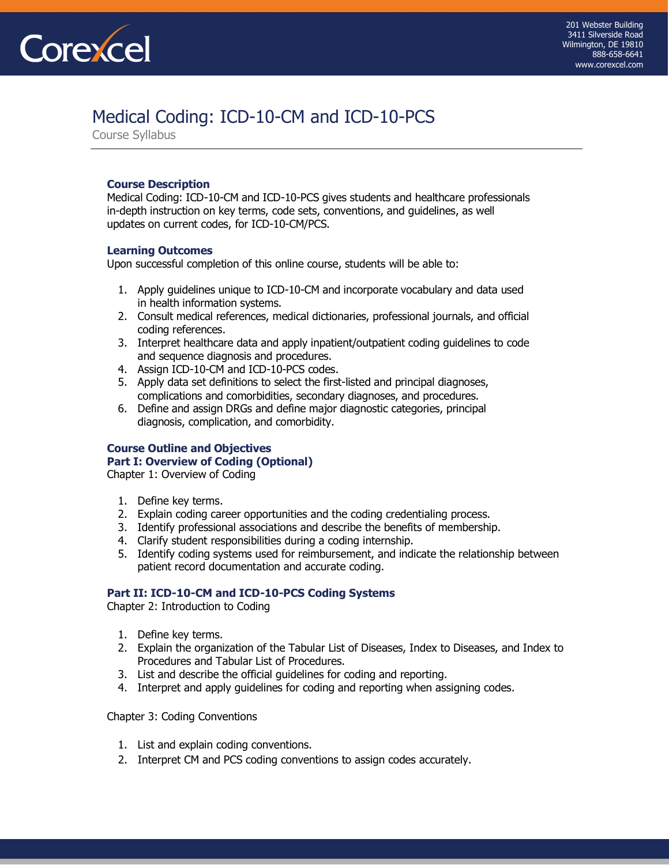# [Medical Coding: ICD-10-CM and ICD-10-PCS](https://www.corexcel.com/coding-courses/icd-10-online-training.php)

[Course Syllabus](http://www.corexcel.com/ecg/clinical.ecg.course.htm) 

### **Course Description**

Medical Coding: ICD-10-CM and ICD-10-PCS gives students and healthcare professionals in-depth instruction on key terms, code sets, conventions, and guidelines, as well updates on current codes, for ICD-10-CM/PCS.

### **Learning Outcomes**

Upon successful completion of this online course, students will be able to:

- 1. Apply guidelines unique to ICD-10-CM and incorporate vocabulary and data used in health information systems.
- 2. Consult medical references, medical dictionaries, professional journals, and official coding references.
- 3. Interpret healthcare data and apply inpatient/outpatient coding guidelines to code and sequence diagnosis and procedures.
- 4. Assign ICD-10-CM and ICD-10-PCS codes.
- 5. Apply data set definitions to select the first-listed and principal diagnoses, complications and comorbidities, secondary diagnoses, and procedures.
- 6. Define and assign DRGs and define major diagnostic categories, principal diagnosis, complication, and comorbidity.

## **Course Outline and Objectives Part I: Overview of Coding (Optional)**

Chapter 1: Overview of Coding

- 1. Define key terms.
- 2. Explain coding career opportunities and the coding credentialing process.
- 3. Identify professional associations and describe the benefits of membership.
- 4. Clarify student responsibilities during a coding internship.
- 5. Identify coding systems used for reimbursement, and indicate the relationship between patient record documentation and accurate coding.

### **Part II: ICD-10-CM and ICD-10-PCS Coding Systems**

Chapter 2: Introduction to Coding

- 1. Define key terms.
- 2. Explain the organization of the Tabular List of Diseases, Index to Diseases, and Index to Procedures and Tabular List of Procedures.
- 3. List and describe the official guidelines for coding and reporting.
- 4. Interpret and apply guidelines for coding and reporting when assigning codes.

Chapter 3: Coding Conventions

- 1. List and explain coding conventions.
- 2. Interpret CM and PCS coding conventions to assign codes accurately.